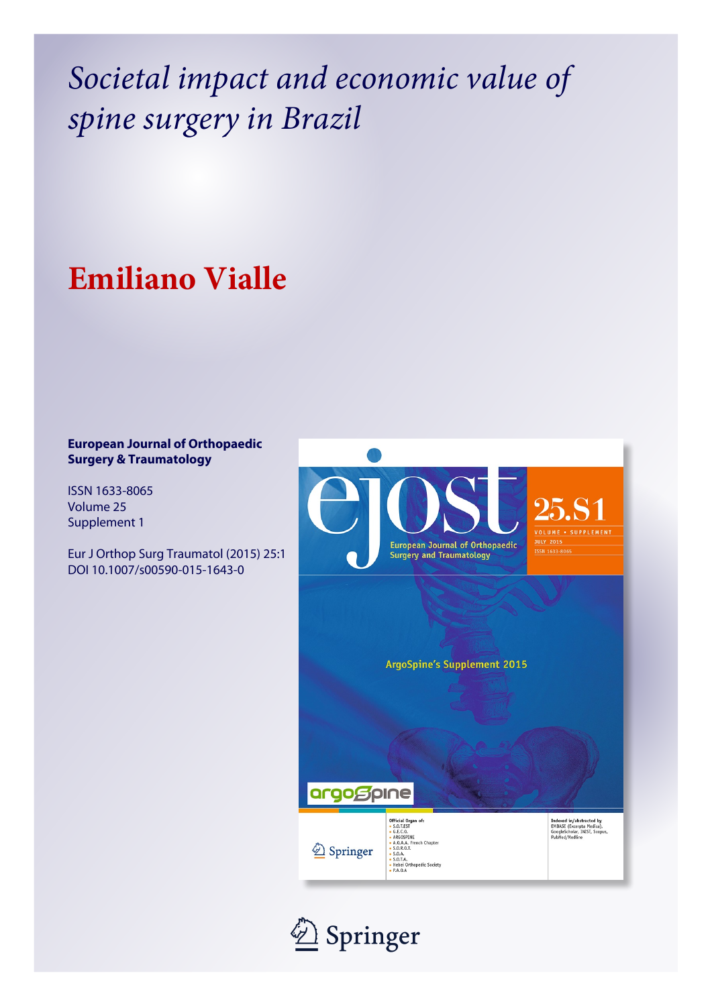*Societal impact and economic value of spine surgery in Brazil*

## **Emiliano Vialle**

## **European Journal of Orthopaedic Surgery & Traumatology**

ISSN 1633-8065 Volume 25 Supplement 1

Eur J Orthop Surg Traumatol (2015) 25:1 DOI 10.1007/s00590-015-1643-0



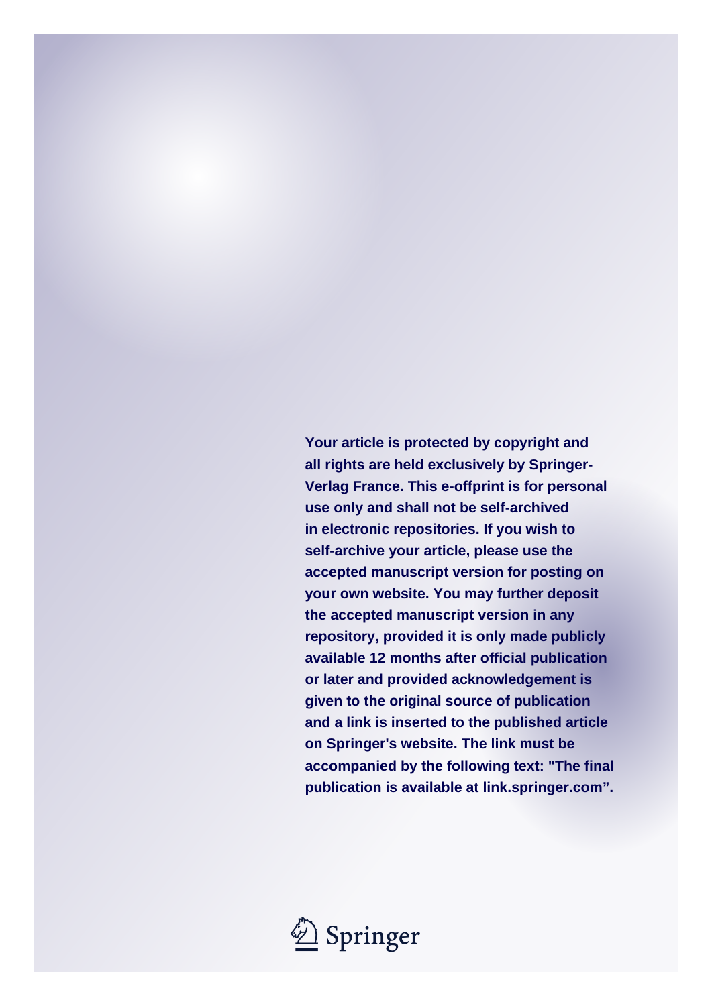**Your article is protected by copyright and all rights are held exclusively by Springer-Verlag France. This e-offprint is for personal use only and shall not be self-archived in electronic repositories. If you wish to self-archive your article, please use the accepted manuscript version for posting on your own website. You may further deposit the accepted manuscript version in any repository, provided it is only made publicly available 12 months after official publication or later and provided acknowledgement is given to the original source of publication and a link is inserted to the published article on Springer's website. The link must be accompanied by the following text: "The final publication is available at link.springer.com".**